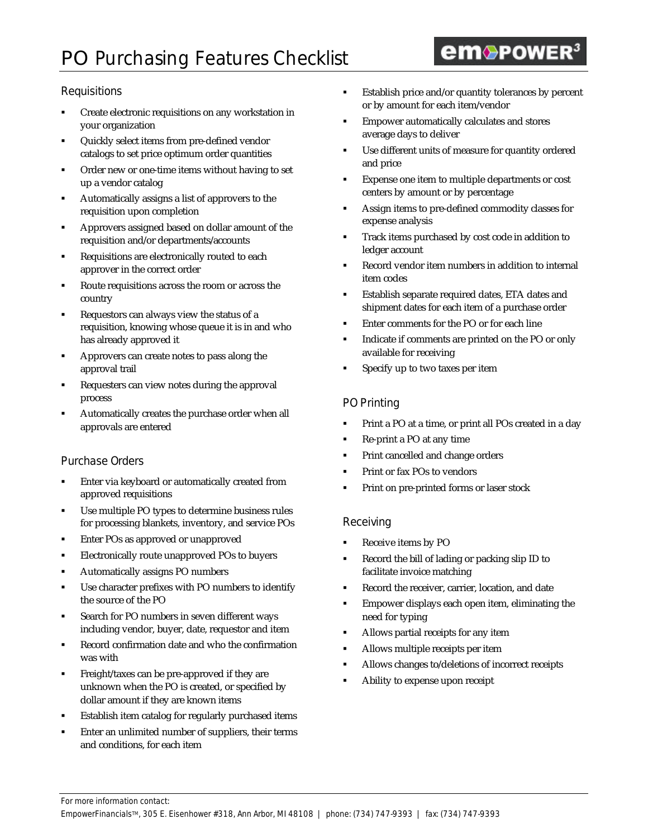# **PO** Purchasing Features Checklist

## **Requisitions**

- ß Create electronic requisitions on any workstation in your organization
- ß Quickly select items from pre-defined vendor catalogs to set price optimum order quantities
- ß Order new or one-time items without having to set up a vendor catalog
- ß Automatically assigns a list of approvers to the requisition upon completion
- ß Approvers assigned based on dollar amount of the requisition and/or departments/accounts
- ß Requisitions are electronically routed to each approver in the correct order
- ß Route requisitions across the room or across the country
- ß Requestors can always view the status of a requisition, knowing whose queue it is in and who has already approved it
- ß Approvers can create notes to pass along the approval trail
- ß Requesters can view notes during the approval process
- ß Automatically creates the purchase order when all approvals are entered

### Purchase Orders

- ß Enter via keyboard or automatically created from approved requisitions
- Use multiple PO types to determine business rules for processing blankets, inventory, and service POs
- ß Enter POs as approved or unapproved
- **Electronically route unapproved POs to buyers**
- ß Automatically assigns PO numbers
- Use character prefixes with PO numbers to identify the source of the PO
- ß Search for PO numbers in seven different ways including vendor, buyer, date, requestor and item
- ß Record confirmation date and who the confirmation was with
- ß Freight/taxes can be pre-approved if they are unknown when the PO is created, or specified by dollar amount if they are known items
- ß Establish item catalog for regularly purchased items
- ß Enter an unlimited number of suppliers, their terms and conditions, for each item

ß Establish price and/or quantity tolerances by percent or by amount for each item/vendor

**em**®POWER<sup>3</sup>

- ß Empower automatically calculates and stores average days to deliver
- **•** Use different units of measure for quantity ordered and price
- ß Expense one item to multiple departments or cost centers by amount or by percentage
- **Assign items to pre-defined commodity classes for** expense analysis
- ß Track items purchased by cost code in addition to ledger account
- ß Record vendor item numbers in addition to internal item codes
- **Establish separate required dates, ETA dates and** shipment dates for each item of a purchase order
- ß Enter comments for the PO or for each line
- ß Indicate if comments are printed on the PO or only available for receiving
- ß Specify up to two taxes per item

## PO Printing

- ß Print a PO at a time, or print all POs created in a day
- ß Re-print a PO at any time
- ß Print cancelled and change orders
- ß Print or fax POs to vendors
- ß Print on pre-printed forms or laser stock

### Receiving

- ß Receive items by PO
- Record the bill of lading or packing slip ID to facilitate invoice matching
- Record the receiver, carrier, location, and date
- ß Empower displays each open item, eliminating the need for typing
- Allows partial receipts for any item
- ß Allows multiple receipts per item
- ß Allows changes to/deletions of incorrect receipts
- ß Ability to expense upon receipt